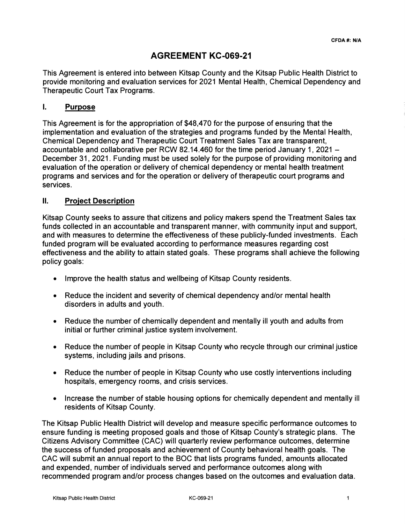# **AGREEMENT KC-069-21**

This Agreement is entered into between Kitsap County and the Kitsap Public Health District to provide monitoring and evaluation services for 2021 Mental Health, Chemical Dependency and Therapeutic Court Tax Programs.

### I. **Purpose**

This Agreement is for the appropriation of \$48,470 for the purpose of ensuring that the implementation and evaluation of the strategies and programs funded by the Mental Health, Chemical Dependency and Therapeutic Court Treatment Sales Tax are transparent, accountable and collaborative per RCW 82.14.460 for the time period January 1, 2021 – December 31, 2021. Funding must be used solely for the purpose of providing monitoring and evaluation of the operation or delivery of chemical dependency or mental health treatment programs and services and for the operation or delivery of therapeutic court programs and services.

### II. **Project Description**

Kitsap County seeks to assure that citizens and policy makers spend the Treatment Sales tax funds collected in an accountable and transparent manner, with community input and support, and with measures to determine the effectiveness of these publicly-funded investments. Each funded program will be evaluated according to performance measures regarding cost effectiveness and the ability to attain stated goals. These programs shall achieve the following policy goals:

- Improve the health status and wellbeing of Kitsap County residents.
- Reduce the incident and severity of chemical dependency and/or mental health disorders in adults and youth.
- Reduce the number of chemically dependent and mentally ill youth and adults from initial or further criminal justice system involvement.
- Reduce the number of people in Kitsap County who recycle through our criminal justice systems, including jails and prisons.
- Reduce the number of people in Kitsap County who use costly interventions including hospitals, emergency rooms, and crisis services.
- Increase the number of stable housing options for chemically dependent and mentally ill residents of Kitsap County.

The Kitsap Public Health District will develop and measure specific performance outcomes to ensure funding is meeting proposed goals and those of Kitsap County's strategic plans. The Citizens Advisory Committee (CAC) will quarterly review performance outcomes, determine the success of funded proposals and achievement of County behavioral health goals. The CAC will submit an annual report to the BOC that lists programs funded, amounts allocated and expended, number of individuals served and performance outcomes along with recommended program and/or process changes based on the outcomes and evaluation data.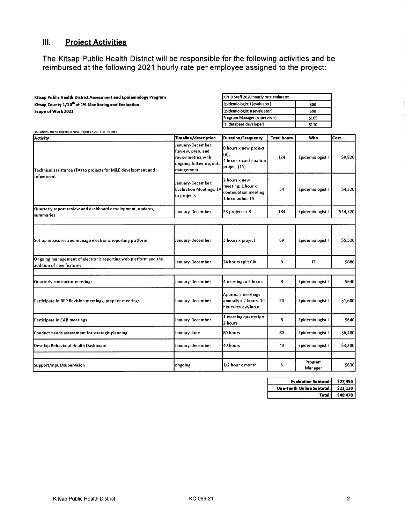# **Ill. Project Activities**

**The Kitsap Public Health District will be responsible for the following activities and be reimbursed at the following 2021 hourly rate per employee assigned to the project:** 

| Kitsap Public Health District Assessment and Epidemiology Program | KPHD Staff 2020 hourly rate estimate: |       |  |  |  |
|-------------------------------------------------------------------|---------------------------------------|-------|--|--|--|
| Kitsap County 1/10 <sup>th</sup> of 1% Monitoring and Evaluation  | Epidemiologist I (evaluator)          | \$80  |  |  |  |
| Scope of Work 2021                                                | Epidemiologist II (evaluator)         | \$90  |  |  |  |
|                                                                   | Program Manager (supervisor)          | \$105 |  |  |  |
|                                                                   | ITT (database developer)              | \$110 |  |  |  |
| 15 Continuation Projects, 8 New Projects = 23 Total Projects      |                                       |       |  |  |  |

| Activity                                                                                    | Timeline/description                                                                                  | Duration/Frequency                                                             | <b>Total hours</b> | Who                | Cost     |  |
|---------------------------------------------------------------------------------------------|-------------------------------------------------------------------------------------------------------|--------------------------------------------------------------------------------|--------------------|--------------------|----------|--|
| Technical assistance (TA) to projects for M&E development and                               | January-December:<br>Review, prep, and<br>revise metrics with<br>ongoing follow-up, data<br>mangement | 8 hours x new project<br>$(8)$ ;<br>4 hours x continuation<br>project (15)     | 124                | Epidemiologist I   | \$9,920  |  |
| refine ment                                                                                 | January-December:<br><b>Evaluation Meetings, TA</b><br>to projects                                    | 2 hours x new<br>meeting; 1 hour x<br>continuation meeting,<br>1 hour adhoc TA | 54                 | Epidemiologist I   | \$4,320  |  |
| Quarterly report review and dashboard development, updates,<br>summaries                    | January-December                                                                                      | 23 projects x 8                                                                | 184                | Epidemiologist I   | \$14,720 |  |
|                                                                                             |                                                                                                       |                                                                                |                    |                    |          |  |
| Set-up measures and manage electronic reporting platform                                    | January-December                                                                                      | 3 hours x project                                                              | 69                 | Epidemiologist I   | \$5,520  |  |
| Ongoing management of electronic reporting web platform and the<br>addition of new features | January-December                                                                                      | 24 hours split CJK                                                             | 8                  | IT                 | \$880    |  |
|                                                                                             |                                                                                                       |                                                                                |                    |                    |          |  |
| Quarterly contractor meetings                                                               | January-December                                                                                      | 4 meetings x 2 hours                                                           | 8                  | Epidemiologist I   | \$640    |  |
| Participate in RFP Revision meetings, prep for meetings                                     | January-December                                                                                      | Approx. 5 meetings<br>annually x 2 hours. 10<br>hours review/input             | 20                 | Epidemiologist I   | \$1,600  |  |
| Participate in CAB meetings                                                                 | January-December                                                                                      | 1 meeting quarterly x<br>2 hours                                               | 8                  | Epidemiologist I   | \$640    |  |
| Conduct needs assessment for strategic planning                                             | January-June                                                                                          | 80 hours                                                                       | 80                 | Epidemiologist I   | \$6,400  |  |
| Develop Behavioral Health Dashboard                                                         | January-December                                                                                      | 40 hours                                                                       | 40                 | Epidemiologist I   | \$3,200  |  |
|                                                                                             |                                                                                                       |                                                                                |                    |                    |          |  |
| Support/input/supervision                                                                   | ongoing                                                                                               | 1/2 hourx month                                                                | 6                  | Program<br>Manager | \$630    |  |

| Evaluation Subtotal: \$27.350       |          |
|-------------------------------------|----------|
| One-Tenth Online Subtotal: \$21,120 |          |
| Total:                              | \$48,470 |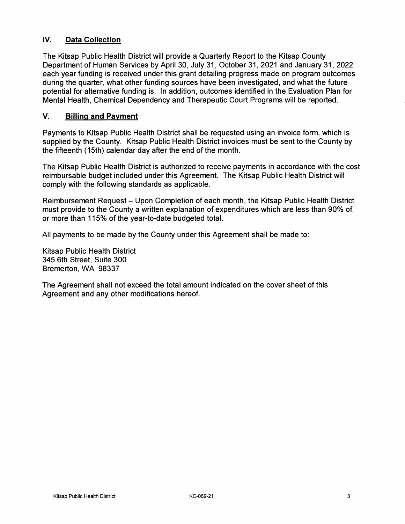## **IV. Data Collection**

The Kitsap Public Health District will provide a Quarterly Report to the Kitsap County Department of Human Services by April 30, July 31, October 31, 2021 and January 31, 2022 each year funding is received under this grant detailing progress made on program outcomes during the quarter, what other funding sources have been investigated, and what the future potential for alternative funding is. In addition, outcomes identified in the Evaluation Plan for Mental Health, Chemical Dependency and Therapeutic Court Programs will be reported.

### **V. Billing and Payment**

Payments to Kitsap Public Health District shall be requested using an invoice form, which is supplied by the County. Kitsap Public Health District invoices must be sent to the County by the fifteenth (15th) calendar day after the end of the month.

The Kitsap Public Health District is authorized to receive payments in accordance with the cost reimbursable budget included under this Agreement. The Kitsap Public Health District will comply with the following standards as applicable.

Reimbursement Request- Upon Completion of each month, the Kitsap Public Health District must provide to the County a written explanation of expenditures which are less than 90% of, or more than 115% of the year-to-date budgeted total.

All payments to be made by the County under this Agreement shall be made to:

Kitsap Public Health District 345 6th Street, Suite 300 Bremerton, WA 98337

The Agreement shall not exceed the total amount indicated on the cover sheet of this Agreement and any other modifications hereof.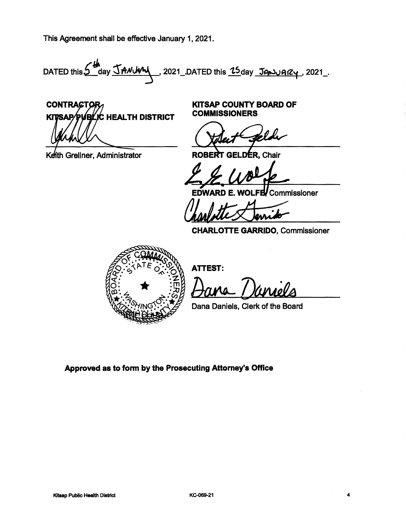This Agreement shall be effective January 1, 2021.

DATED this 5 May JANUM , 2021 DATED this 25 day January, 2021.

**CONTRACTOR** <u>(C HEALTH DISTRICT)</u> KIT Ъl ßар

Keith Grellner, Administrator

KITSAP COUNTY **BOARD OF COMMISSIONERS** 

Robert Gelde

EDWARD E. WOLFE Commissioner

ROBERT GELDER, Chair<br>EDWARD E. WOLFE Commissioner<br>CAMPALE Commissioner

CHARLOTTE **GARRIDO,** Commissioner



ATTEST:

Dana Daniels, Clerk of the Board

Approved as to fonn by the Prosecuting Attorney's Office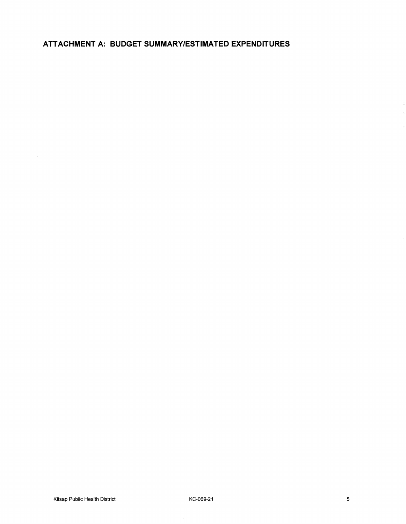**ATTACHMENT A: BUDGET SUMMARY/ESTIMATED EXPENDITURES**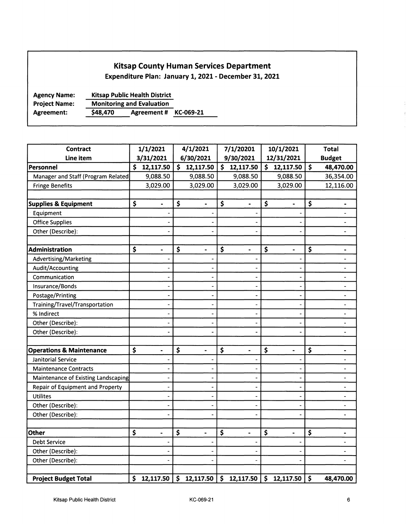## Kitsap County Human Services Department

Expenditure Plan: January 1, 2021 - December 31, 2021

Agency Name: Project Name: Kitsap Public Health District Monitoring and Evaluation Agreement: \$48,470 Agreement # KC-069-21

| <b>Contract</b>                     | 1/1/2021                           | 4/1/2021                           | 7/1/20201                          | 10/1/2021                          | <b>Total</b>                   |
|-------------------------------------|------------------------------------|------------------------------------|------------------------------------|------------------------------------|--------------------------------|
| Line item                           | 3/31/2021                          | 6/30/2021                          | 9/30/2021                          | 12/31/2021                         | <b>Budget</b>                  |
| Personnel                           | \$12,117.50                        | \$12,117.50                        | \$12,117.50                        | \$12,117.50                        | \$<br>48,470.00                |
| Manager and Staff (Program Related) | 9,088.50                           | 9,088.50                           | 9,088.50                           | 9,088.50                           | 36,354.00                      |
| <b>Fringe Benefits</b>              | 3,029.00                           | 3,029.00                           | 3,029.00                           | 3,029.00                           | 12,116.00                      |
|                                     |                                    |                                    |                                    |                                    |                                |
| <b>Supplies &amp; Equipment</b>     | \$<br>$\blacksquare$               | \$<br>$\blacksquare$               | \$<br>$\blacksquare$               | \$<br>$\blacksquare$               | \$<br>$\blacksquare$           |
| Equipment                           |                                    |                                    |                                    |                                    |                                |
| <b>Office Supplies</b>              |                                    |                                    |                                    |                                    | $\overline{a}$                 |
| Other (Describe):                   |                                    |                                    |                                    |                                    | $\qquad \qquad \blacksquare$   |
|                                     |                                    |                                    |                                    |                                    |                                |
| Administration                      | \$<br>$\blacksquare$               | \$<br>$\blacksquare$               | \$<br>$\blacksquare$               | \$<br>$\qquad \qquad \blacksquare$ | \$<br>$\overline{\phantom{0}}$ |
| Advertising/Marketing               |                                    |                                    |                                    |                                    | $\overline{\phantom{0}}$       |
| Audit/Accounting                    |                                    |                                    |                                    |                                    | $\overline{\phantom{0}}$       |
| Communication                       |                                    |                                    |                                    |                                    | $\qquad \qquad \blacksquare$   |
| Insurance/Bonds                     |                                    |                                    |                                    |                                    | $\qquad \qquad \blacksquare$   |
| Postage/Printing                    |                                    |                                    |                                    |                                    | $\qquad \qquad \blacksquare$   |
| Training/Travel/Transportation      |                                    |                                    |                                    |                                    | $\frac{1}{2}$                  |
| % Indirect                          |                                    |                                    |                                    |                                    | -                              |
| Other (Describe):                   |                                    |                                    |                                    |                                    | -                              |
| Other (Describe):                   |                                    |                                    |                                    |                                    | $\blacksquare$                 |
|                                     |                                    |                                    |                                    |                                    |                                |
| <b>Operations &amp; Maintenance</b> | \$<br>$\qquad \qquad \blacksquare$ | \$<br>$\overline{\phantom{0}}$     | \$<br>$\qquad \qquad \blacksquare$ | \$<br>$\qquad \qquad \blacksquare$ | \$<br>-                        |
| Janitorial Service                  |                                    |                                    |                                    |                                    | -                              |
| <b>Maintenance Contracts</b>        |                                    |                                    |                                    |                                    | $\frac{1}{2}$                  |
| Maintenance of Existing Landscaping |                                    |                                    |                                    |                                    | $\qquad \qquad \blacksquare$   |
| Repair of Equipment and Property    |                                    |                                    |                                    |                                    | $\blacksquare$                 |
| <b>Utilites</b>                     |                                    |                                    |                                    |                                    | $\overline{\phantom{a}}$       |
| Other (Describe):                   |                                    |                                    |                                    |                                    | ÷,                             |
| Other (Describe):                   |                                    |                                    |                                    |                                    | $\overline{\phantom{0}}$       |
|                                     |                                    |                                    |                                    |                                    |                                |
| <b>Other</b>                        | \$<br>$\blacksquare$               | \$<br>$\qquad \qquad \blacksquare$ | \$<br>$\blacksquare$               | \$<br>$\blacksquare$               | \$                             |
| <b>Debt Service</b>                 |                                    |                                    |                                    |                                    | $\overline{\phantom{0}}$       |
| Other (Describe):                   |                                    |                                    |                                    |                                    | $\overline{\phantom{0}}$       |
| Other (Describe):                   |                                    |                                    |                                    |                                    | ÷,                             |
|                                     |                                    |                                    |                                    |                                    |                                |
| <b>Project Budget Total</b>         | \$12,117.50                        | \$12,117.50                        | $\vert$ \$ 12,117.50 $\vert$       | \$12,117.50                        | \$<br>48,470.00                |